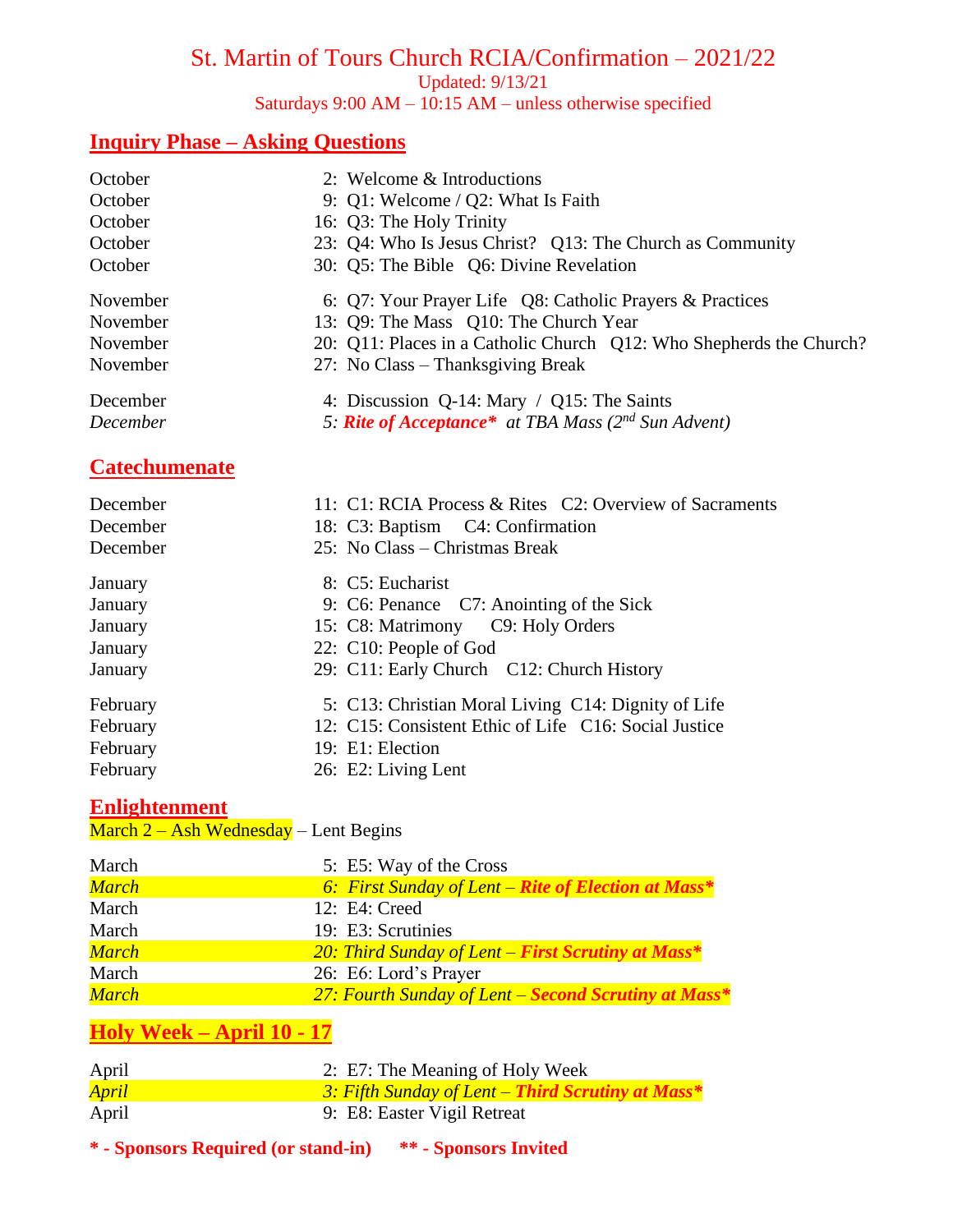# St. Martin of Tours Church RCIA/Confirmation – 2021/22

Updated: 9/13/21

Saturdays  $9:00 \text{ AM} - 10:15 \text{ AM} - \text{unless}$  otherwise specified

# **Inquiry Phase – Asking Questions**

| October<br>October<br>October<br>October<br>October | 2: Welcome & Introductions<br>9: Q1: Welcome / Q2: What Is Faith<br>16: Q3: The Holy Trinity<br>23: Q4: Who Is Jesus Christ? Q13: The Church as Community<br>30: Q5: The Bible Q6: Divine Revelation          |
|-----------------------------------------------------|---------------------------------------------------------------------------------------------------------------------------------------------------------------------------------------------------------------|
| November<br>November<br>November<br>November        | 6: Q7: Your Prayer Life Q8: Catholic Prayers & Practices<br>13: Q9: The Mass Q10: The Church Year<br>20: Q11: Places in a Catholic Church Q12: Who Shepherds the Church?<br>27: No Class – Thanksgiving Break |
| December<br>December                                | 4: Discussion Q-14: Mary / Q15: The Saints<br>5: <b>Rite of Acceptance*</b> at TBA Mass ( $2^{nd}$ Sun Advent)                                                                                                |
| <b>Catechumenate</b>                                |                                                                                                                                                                                                               |
| December<br>December<br>December                    | 11: C1: RCIA Process & Rites C2: Overview of Sacraments<br>18: C3: Baptism C4: Confirmation<br>25: No Class – Christmas Break                                                                                 |
| January<br>January<br>January<br>January<br>January | 8: C5: Eucharist<br>9: C6: Penance C7: Anointing of the Sick<br>15: C8: Matrimony C9: Holy Orders<br>22: C10: People of God<br>29: C11: Early Church C12: Church History                                      |
| February<br>February<br>February<br>February        | 5: C13: Christian Moral Living C14: Dignity of Life<br>12: C15: Consistent Ethic of Life C16: Social Justice<br>19: E1: Election<br>26: E2: Living Lent                                                       |

## **Enlightenment**

March  $2 -$  Ash Wednesday – Lent Begins

| March        | 5: E5: Way of the Cross                              |
|--------------|------------------------------------------------------|
| March        | 6: First Sunday of Lent – Rite of Election at Mass*  |
| March        | 12: E4: Creed                                        |
| March        | 19: E3: Scrutinies                                   |
| <b>March</b> | 20: Third Sunday of Lent – First Scrutiny at Mass*   |
| March        | 26: E6: Lord's Prayer                                |
| March        | 27: Fourth Sunday of Lent – Second Scrutiny at Mass* |

# **Holy Week – April 10 - 17**

| April        | 2: E7: The Meaning of Holy Week                   |
|--------------|---------------------------------------------------|
| <b>April</b> | 3: Fifth Sunday of Lent – Third Scrutiny at Mass* |
| April        | 9: E8: Easter Vigil Retreat                       |

**\* - Sponsors Required (or stand-in) \*\* - Sponsors Invited**